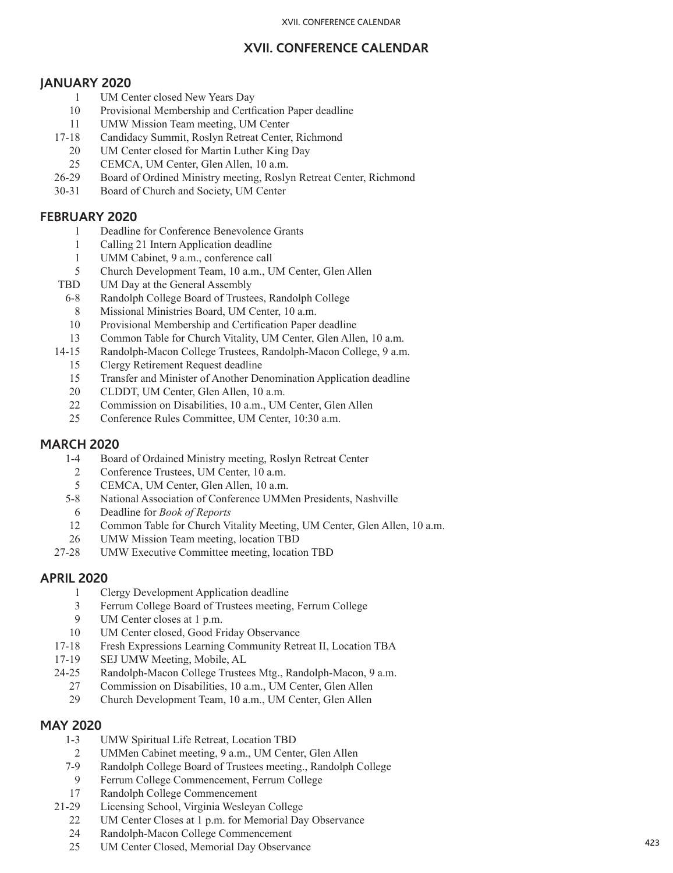## **XVII. CONFERENCE CALENDAR**

### **JANUARY 2020**

- 1 UM Center closed New Years Day
- 10 Provisional Membership and Certfication Paper deadline
- 11 UMW Mission Team meeting, UM Center
- 17-18 Candidacy Summit, Roslyn Retreat Center, Richmond
	- 20 UM Center closed for Martin Luther King Day
- 25 CEMCA, UM Center, Glen Allen, 10 a.m.
- 26-29 Board of Ordined Ministry meeting, Roslyn Retreat Center, Richmond
- 30-31 Board of Church and Society, UM Center

#### **FEBRUARY 2020**

- 1 Deadline for Conference Benevolence Grants
- 1 Calling 21 Intern Application deadline
- 1 UMM Cabinet, 9 a.m., conference call
- 5 Church Development Team, 10 a.m., UM Center, Glen Allen
- TBD UM Day at the General Assembly
	- 6-8 Randolph College Board of Trustees, Randolph College
	- 8 Missional Ministries Board, UM Center, 10 a.m.
	- 10 Provisional Membership and Certification Paper deadline
- 13 Common Table for Church Vitality, UM Center, Glen Allen, 10 a.m.
- 14-15 Randolph-Macon College Trustees, Randolph-Macon College, 9 a.m.
	- 15 Clergy Retirement Request deadline
	- 15 Transfer and Minister of Another Denomination Application deadline
	- 20 CLDDT, UM Center, Glen Allen, 10 a.m.
	- 22 Commission on Disabilities, 10 a.m., UM Center, Glen Allen
	- 25 Conference Rules Committee, UM Center, 10:30 a.m.

## **MARCH 2020**

- 1-4 Board of Ordained Ministry meeting, Roslyn Retreat Center
- 2 Conference Trustees, UM Center, 10 a.m.
- 5 CEMCA, UM Center, Glen Allen, 10 a.m.
- 5-8 National Association of Conference UMMen Presidents, Nashville
- 6 Deadline for *Book of Reports*
- 12 Common Table for Church Vitality Meeting, UM Center, Glen Allen, 10 a.m.
- 26 UMW Mission Team meeting, location TBD
- 27-28 UMW Executive Committee meeting, location TBD

## **APRIL 2020**

- 1 Clergy Development Application deadline
- 3 Ferrum College Board of Trustees meeting, Ferrum College
- 9 UM Center closes at 1 p.m.
- 10 UM Center closed, Good Friday Observance
- 17-18 Fresh Expressions Learning Community Retreat II, Location TBA
- 17-19 SEJ UMW Meeting, Mobile, AL
- 24-25 Randolph-Macon College Trustees Mtg., Randolph-Macon, 9 a.m.
	- 27 Commission on Disabilities, 10 a.m., UM Center, Glen Allen
	- 29 Church Development Team, 10 a.m., UM Center, Glen Allen

## **MAY 2020**

- 1-3 UMW Spiritual Life Retreat, Location TBD
- 2 UMMen Cabinet meeting, 9 a.m., UM Center, Glen Allen
- 7-9 Randolph College Board of Trustees meeting., Randolph College
- 9 Ferrum College Commencement, Ferrum College
- 17 Randolph College Commencement
- 21-29 Licensing School, Virginia Wesleyan College
	- 22 UM Center Closes at 1 p.m. for Memorial Day Observance
	- 24 Randolph-Macon College Commencement
	- 25 UM Center Closed, Memorial Day Observance